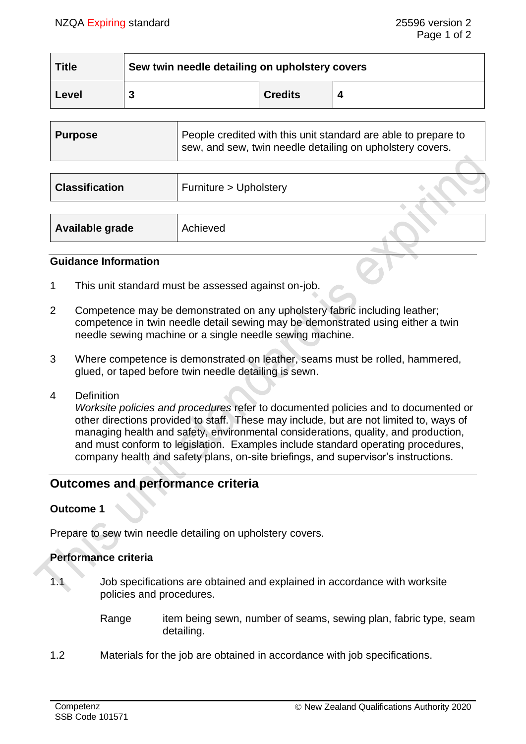| <b>Title</b> | Sew twin needle detailing on upholstery covers |                |  |  |
|--------------|------------------------------------------------|----------------|--|--|
| Level        |                                                | <b>Credits</b> |  |  |

| <b>Purpose</b>        | People credited with this unit standard are able to prepare to<br>sew, and sew, twin needle detailing on upholstery covers. |  |
|-----------------------|-----------------------------------------------------------------------------------------------------------------------------|--|
|                       |                                                                                                                             |  |
| <b>Classification</b> | Furniture > Upholstery                                                                                                      |  |

| Available grade<br>Achieved |  |
|-----------------------------|--|
|-----------------------------|--|

## **Guidance Information**

- 1 This unit standard must be assessed against on-job.
- 2 Competence may be demonstrated on any upholstery fabric including leather; competence in twin needle detail sewing may be demonstrated using either a twin needle sewing machine or a single needle sewing machine.
- 3 Where competence is demonstrated on leather, seams must be rolled, hammered, glued, or taped before twin needle detailing is sewn.
- 4 Definition

*Worksite policies and procedures* refer to documented policies and to documented or other directions provided to staff. These may include, but are not limited to, ways of managing health and safety, environmental considerations, quality, and production, and must conform to legislation. Examples include standard operating procedures, company health and safety plans, on-site briefings, and supervisor's instructions.

# **Outcomes and performance criteria**

# **Outcome 1**

Prepare to sew twin needle detailing on upholstery covers.

# **Performance criteria**

- 
- 1.1 Job specifications are obtained and explained in accordance with worksite policies and procedures.
	- Range item being sewn, number of seams, sewing plan, fabric type, seam detailing.
- 1.2 Materials for the job are obtained in accordance with job specifications.